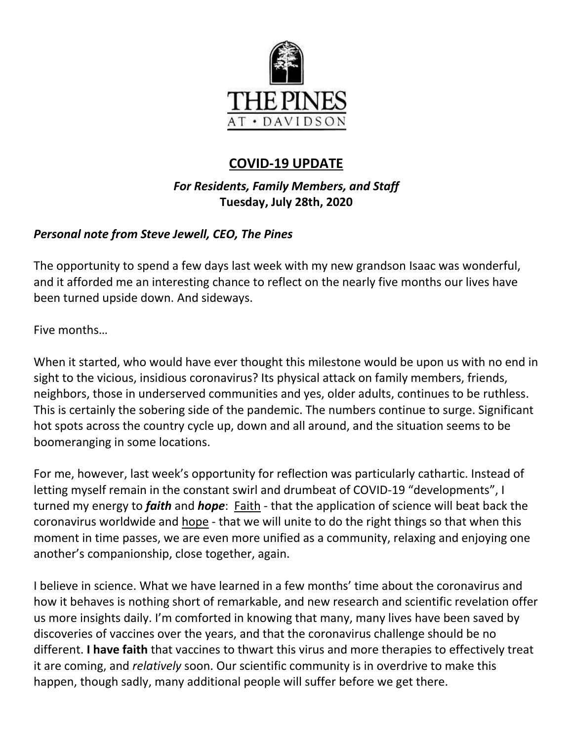

# **COVID-19 UPDATE**

## *For Residents, Family Members, and Staff* **Tuesday, July 28th, 2020**

## *Personal note from Steve Jewell, CEO, The Pines*

The opportunity to spend a few days last week with my new grandson Isaac was wonderful, and it afforded me an interesting chance to reflect on the nearly five months our lives have been turned upside down. And sideways.

Five months…

When it started, who would have ever thought this milestone would be upon us with no end in sight to the vicious, insidious coronavirus? Its physical attack on family members, friends, neighbors, those in underserved communities and yes, older adults, continues to be ruthless. This is certainly the sobering side of the pandemic. The numbers continue to surge. Significant hot spots across the country cycle up, down and all around, and the situation seems to be boomeranging in some locations.

For me, however, last week's opportunity for reflection was particularly cathartic. Instead of letting myself remain in the constant swirl and drumbeat of COVID-19 "developments", I turned my energy to *faith* and *hope*: Faith - that the application of science will beat back the coronavirus worldwide and hope - that we will unite to do the right things so that when this moment in time passes, we are even more unified as a community, relaxing and enjoying one another's companionship, close together, again.

I believe in science. What we have learned in a few months' time about the coronavirus and how it behaves is nothing short of remarkable, and new research and scientific revelation offer us more insights daily. I'm comforted in knowing that many, many lives have been saved by discoveries of vaccines over the years, and that the coronavirus challenge should be no different. **I have faith** that vaccines to thwart this virus and more therapies to effectively treat it are coming, and *relatively* soon. Our scientific community is in overdrive to make this happen, though sadly, many additional people will suffer before we get there.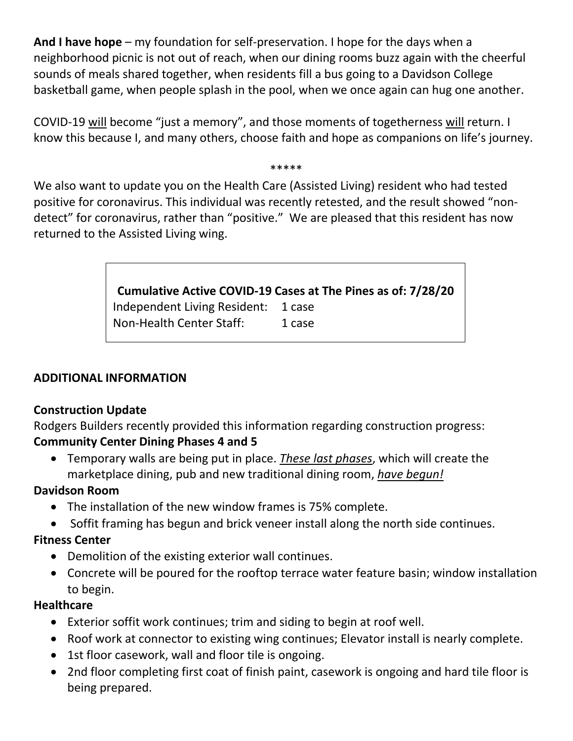**And I have hope** – my foundation for self-preservation. I hope for the days when a neighborhood picnic is not out of reach, when our dining rooms buzz again with the cheerful sounds of meals shared together, when residents fill a bus going to a Davidson College basketball game, when people splash in the pool, when we once again can hug one another.

COVID-19 will become "just a memory", and those moments of togetherness will return. I know this because I, and many others, choose faith and hope as companions on life's journey.

#### \*\*\*\*\*

We also want to update you on the Health Care (Assisted Living) resident who had tested positive for coronavirus. This individual was recently retested, and the result showed "nondetect" for coronavirus, rather than "positive." We are pleased that this resident has now returned to the Assisted Living wing.

# **Cumulative Active COVID-19 Cases at The Pines as of: 7/28/20** Independent Living Resident: 1 case Non-Health Center Staff: 1 case

#### **ADDITIONAL INFORMATION**

### **Construction Update**

Rodgers Builders recently provided this information regarding construction progress: **Community Center Dining Phases 4 and 5**

 Temporary walls are being put in place. *These last phases*, which will create the marketplace dining, pub and new traditional dining room, *have begun!* 

#### **Davidson Room**

- The installation of the new window frames is 75% complete.
- Soffit framing has begun and brick veneer install along the north side continues.

### **Fitness Center**

- Demolition of the existing exterior wall continues.
- Concrete will be poured for the rooftop terrace water feature basin; window installation to begin.

#### **Healthcare**

- Exterior soffit work continues; trim and siding to begin at roof well.
- Roof work at connector to existing wing continues; Elevator install is nearly complete.
- 1st floor casework, wall and floor tile is ongoing.
- 2nd floor completing first coat of finish paint, casework is ongoing and hard tile floor is being prepared.